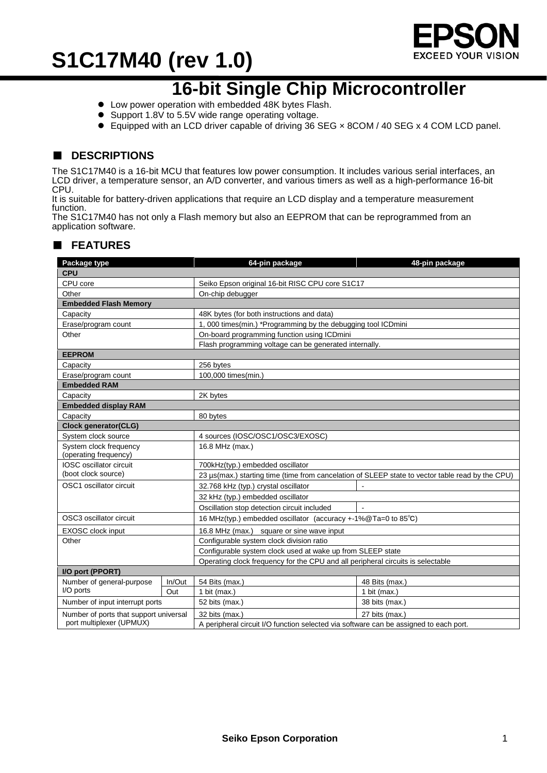

### **16-bit Single Chip Microcontroller**

- Low power operation with embedded 48K bytes Flash.
- Support 1.8V to 5.5V wide range operating voltage.
- Equipped with an LCD driver capable of driving 36 SEG x 8COM / 40 SEG x 4 COM LCD panel.

### ■ **DESCRIPTIONS**

The S1C17M40 is a 16-bit MCU that features low power consumption. It includes various serial interfaces, an LCD driver, a temperature sensor, an A/D converter, and various timers as well as a high-performance 16-bit CPU.

It is suitable for battery-driven applications that require an LCD display and a temperature measurement function.

The S1C17M40 has not only a Flash memory but also an EEPROM that can be reprogrammed from an application software.

| Package type                                    |        | 64-pin package                                                                                   | 48-pin package |  |  |  |
|-------------------------------------------------|--------|--------------------------------------------------------------------------------------------------|----------------|--|--|--|
| <b>CPU</b>                                      |        |                                                                                                  |                |  |  |  |
| CPU core                                        |        | Seiko Epson original 16-bit RISC CPU core S1C17                                                  |                |  |  |  |
| Other                                           |        | On-chip debugger                                                                                 |                |  |  |  |
| <b>Embedded Flash Memory</b>                    |        |                                                                                                  |                |  |  |  |
| Capacity                                        |        | 48K bytes (for both instructions and data)                                                       |                |  |  |  |
| Erase/program count                             |        | 1, 000 times(min.) *Programming by the debugging tool ICDmini                                    |                |  |  |  |
| Other                                           |        | On-board programming function using ICDmini                                                      |                |  |  |  |
|                                                 |        | Flash programming voltage can be generated internally.                                           |                |  |  |  |
| <b>EEPROM</b>                                   |        |                                                                                                  |                |  |  |  |
| Capacity                                        |        | 256 bytes                                                                                        |                |  |  |  |
| Erase/program count                             |        | 100,000 times(min.)                                                                              |                |  |  |  |
| <b>Embedded RAM</b>                             |        |                                                                                                  |                |  |  |  |
| Capacity                                        |        | 2K bytes                                                                                         |                |  |  |  |
| <b>Embedded display RAM</b>                     |        |                                                                                                  |                |  |  |  |
| Capacity                                        |        | 80 bytes                                                                                         |                |  |  |  |
| <b>Clock generator(CLG)</b>                     |        |                                                                                                  |                |  |  |  |
| System clock source                             |        | 4 sources (IOSC/OSC1/OSC3/EXOSC)                                                                 |                |  |  |  |
| System clock frequency<br>(operating frequency) |        | 16.8 MHz (max.)                                                                                  |                |  |  |  |
| IOSC oscillator circuit                         |        | 700kHz(typ.) embedded oscillator                                                                 |                |  |  |  |
| (boot clock source)                             |        | 23 µs(max.) starting time (time from cancelation of SLEEP state to vector table read by the CPU) |                |  |  |  |
| OSC1 oscillator circuit                         |        | 32.768 kHz (typ.) crystal oscillator                                                             |                |  |  |  |
|                                                 |        | 32 kHz (typ.) embedded oscillator                                                                |                |  |  |  |
|                                                 |        | Oscillation stop detection circuit included<br>$\sim$                                            |                |  |  |  |
| OSC3 oscillator circuit                         |        | 16 MHz(typ.) embedded oscillator (accuracy +-1%@Ta=0 to 85°C)                                    |                |  |  |  |
| EXOSC clock input                               |        | 16.8 MHz (max.) square or sine wave input                                                        |                |  |  |  |
| Other                                           |        | Configurable system clock division ratio                                                         |                |  |  |  |
|                                                 |        | Configurable system clock used at wake up from SLEEP state                                       |                |  |  |  |
|                                                 |        | Operating clock frequency for the CPU and all peripheral circuits is selectable                  |                |  |  |  |
| I/O port (PPORT)                                |        |                                                                                                  |                |  |  |  |
| Number of general-purpose                       | In/Out | 54 Bits (max.)                                                                                   | 48 Bits (max.) |  |  |  |
| I/O ports                                       | Out    | 1 bit ( $max.$ )                                                                                 | 1 bit (max.)   |  |  |  |
| Number of input interrupt ports                 |        | 52 bits (max.)                                                                                   | 38 bits (max.) |  |  |  |
| Number of ports that support universal          |        | 32 bits (max.)                                                                                   | 27 bits (max.) |  |  |  |
| port multiplexer (UPMUX)                        |        | A peripheral circuit I/O function selected via software can be assigned to each port.            |                |  |  |  |

#### ■ **FEATURES**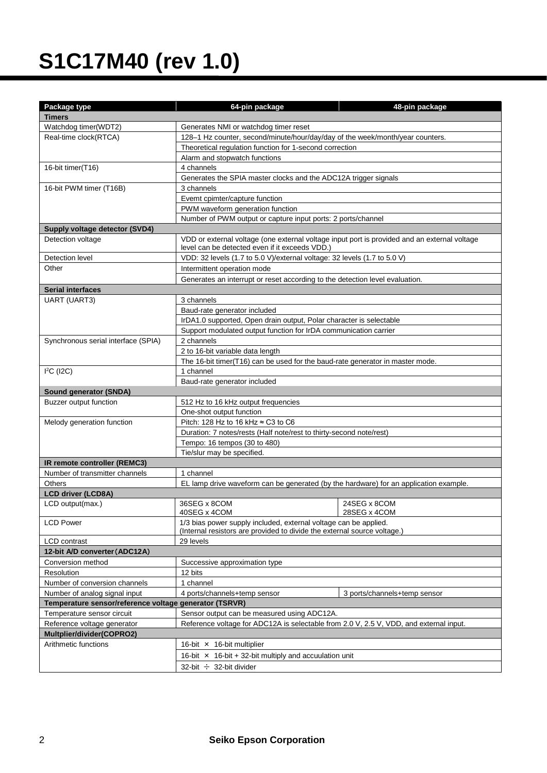| Package type                                           | 64-pin package                                                                               | 48-pin package               |  |  |  |  |
|--------------------------------------------------------|----------------------------------------------------------------------------------------------|------------------------------|--|--|--|--|
| <b>Timers</b>                                          |                                                                                              |                              |  |  |  |  |
| Watchdog timer(WDT2)                                   | Generates NMI or watchdog timer reset                                                        |                              |  |  |  |  |
| Real-time clock(RTCA)                                  | 128-1 Hz counter, second/minute/hour/day/day of the week/month/year counters.                |                              |  |  |  |  |
|                                                        | Theoretical regulation function for 1-second correction                                      |                              |  |  |  |  |
|                                                        | Alarm and stopwatch functions                                                                |                              |  |  |  |  |
| 16-bit timer(T16)                                      | 4 channels                                                                                   |                              |  |  |  |  |
|                                                        | Generates the SPIA master clocks and the ADC12A trigger signals                              |                              |  |  |  |  |
| 16-bit PWM timer (T16B)                                | 3 channels                                                                                   |                              |  |  |  |  |
|                                                        | Evemt cpimter/capture function                                                               |                              |  |  |  |  |
|                                                        | PWM waveform generation function                                                             |                              |  |  |  |  |
|                                                        | Number of PWM output or capture input ports: 2 ports/channel                                 |                              |  |  |  |  |
| Supply voltage detector (SVD4)                         |                                                                                              |                              |  |  |  |  |
| Detection voltage                                      | VDD or external voltage (one external voltage input port is provided and an external voltage |                              |  |  |  |  |
|                                                        | level can be detected even if it exceeds VDD.)                                               |                              |  |  |  |  |
| Detection level                                        | VDD: 32 levels (1.7 to 5.0 V)/external voltage: 32 levels (1.7 to 5.0 V)                     |                              |  |  |  |  |
| Other                                                  | Intermittent operation mode                                                                  |                              |  |  |  |  |
|                                                        | Generates an interrupt or reset according to the detection level evaluation.                 |                              |  |  |  |  |
| <b>Serial interfaces</b>                               |                                                                                              |                              |  |  |  |  |
| <b>UART (UART3)</b>                                    | 3 channels                                                                                   |                              |  |  |  |  |
|                                                        | Baud-rate generator included                                                                 |                              |  |  |  |  |
|                                                        | IrDA1.0 supported, Open drain output, Polar character is selectable                          |                              |  |  |  |  |
|                                                        | Support modulated output function for IrDA communication carrier                             |                              |  |  |  |  |
| Synchronous serial interface (SPIA)                    | 2 channels                                                                                   |                              |  |  |  |  |
|                                                        | 2 to 16-bit variable data length                                                             |                              |  |  |  |  |
|                                                        | The 16-bit timer(T16) can be used for the baud-rate generator in master mode.                |                              |  |  |  |  |
| $I2C$ (I2C)                                            | 1 channel                                                                                    |                              |  |  |  |  |
|                                                        | Baud-rate generator included                                                                 |                              |  |  |  |  |
| Sound generator (SNDA)                                 |                                                                                              |                              |  |  |  |  |
| Buzzer output function                                 | 512 Hz to 16 kHz output frequencies                                                          |                              |  |  |  |  |
|                                                        | One-shot output function                                                                     |                              |  |  |  |  |
| Melody generation function                             | Pitch: 128 Hz to 16 kHz ≈ C3 to C6                                                           |                              |  |  |  |  |
|                                                        | Duration: 7 notes/rests (Half note/rest to thirty-second note/rest)                          |                              |  |  |  |  |
|                                                        | Tempo: 16 tempos (30 to 480)                                                                 |                              |  |  |  |  |
|                                                        | Tie/slur may be specified.                                                                   |                              |  |  |  |  |
| IR remote controller (REMC3)                           |                                                                                              |                              |  |  |  |  |
| Number of transmitter channels                         | 1 channel                                                                                    |                              |  |  |  |  |
| <b>Others</b>                                          | EL lamp drive waveform can be generated (by the hardware) for an application example.        |                              |  |  |  |  |
| <b>LCD driver (LCD8A)</b>                              |                                                                                              |                              |  |  |  |  |
| LCD output(max.)                                       | 36SEG x 8COM                                                                                 | 24SEG x 8COM                 |  |  |  |  |
|                                                        | 40SEG x 4COM                                                                                 | 28SEG x 4COM                 |  |  |  |  |
| <b>LCD Power</b>                                       | 1/3 bias power supply included, external voltage can be applied.                             |                              |  |  |  |  |
|                                                        | (Internal resistors are provided to divide the external source voltage.)                     |                              |  |  |  |  |
| <b>LCD</b> contrast                                    | 29 levels                                                                                    |                              |  |  |  |  |
| 12-bit A/D converter (ADC12A)                          |                                                                                              |                              |  |  |  |  |
| Conversion method                                      | Successive approximation type                                                                |                              |  |  |  |  |
| Resolution                                             | 12 bits                                                                                      |                              |  |  |  |  |
| Number of conversion channels                          | 1 channel                                                                                    |                              |  |  |  |  |
| Number of analog signal input                          | 4 ports/channels+temp sensor                                                                 | 3 ports/channels+temp sensor |  |  |  |  |
| Temperature sensor/reference voltage generator (TSRVR) |                                                                                              |                              |  |  |  |  |
| Temperature sensor circuit                             | Sensor output can be measured using ADC12A.                                                  |                              |  |  |  |  |
| Reference voltage generator                            | Reference voltage for ADC12A is selectable from 2.0 V, 2.5 V, VDD, and external input.       |                              |  |  |  |  |
| Multplier/divider(COPRO2)                              |                                                                                              |                              |  |  |  |  |
| Arithmetic functions                                   | 16-bit $\times$ 16-bit multiplier                                                            |                              |  |  |  |  |
|                                                        | 16-bit $\times$ 16-bit + 32-bit multiply and accuulation unit                                |                              |  |  |  |  |
|                                                        | 32-bit $\div$ 32-bit divider                                                                 |                              |  |  |  |  |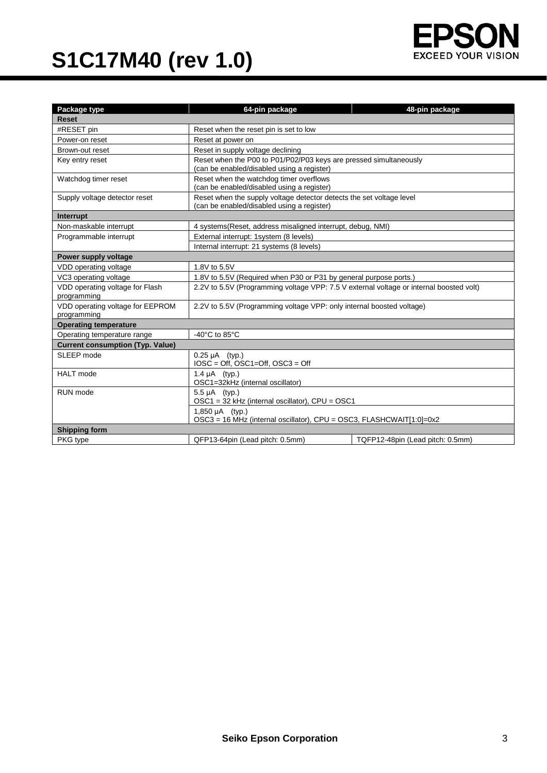

| Package type                                    | 64-pin package<br>48-pin package                                                                                   |                                  |  |  |  |  |  |
|-------------------------------------------------|--------------------------------------------------------------------------------------------------------------------|----------------------------------|--|--|--|--|--|
| <b>Reset</b>                                    |                                                                                                                    |                                  |  |  |  |  |  |
| #RESET pin                                      | Reset when the reset pin is set to low                                                                             |                                  |  |  |  |  |  |
| Power-on reset                                  | Reset at power on                                                                                                  |                                  |  |  |  |  |  |
| Brown-out reset                                 | Reset in supply voltage declining                                                                                  |                                  |  |  |  |  |  |
| Key entry reset                                 | Reset when the P00 to P01/P02/P03 keys are pressed simultaneously<br>(can be enabled/disabled using a register)    |                                  |  |  |  |  |  |
| Watchdog timer reset                            | Reset when the watchdog timer overflows<br>(can be enabled/disabled using a register)                              |                                  |  |  |  |  |  |
| Supply voltage detector reset                   | Reset when the supply voltage detector detects the set voltage level<br>(can be enabled/disabled using a register) |                                  |  |  |  |  |  |
| Interrupt                                       |                                                                                                                    |                                  |  |  |  |  |  |
| Non-maskable interrupt                          | 4 systems (Reset, address misaligned interrupt, debug, NMI)                                                        |                                  |  |  |  |  |  |
| Programmable interrupt                          | External interrupt: 1system (8 levels)                                                                             |                                  |  |  |  |  |  |
|                                                 | Internal interrupt: 21 systems (8 levels)                                                                          |                                  |  |  |  |  |  |
| Power supply voltage                            |                                                                                                                    |                                  |  |  |  |  |  |
| VDD operating voltage                           | 1.8V to 5.5V                                                                                                       |                                  |  |  |  |  |  |
| VC3 operating voltage                           | 1.8V to 5.5V (Required when P30 or P31 by general purpose ports.)                                                  |                                  |  |  |  |  |  |
| VDD operating voltage for Flash<br>programming  | 2.2V to 5.5V (Programming voltage VPP: 7.5 V external voltage or internal boosted volt)                            |                                  |  |  |  |  |  |
| VDD operating voltage for EEPROM<br>programming | 2.2V to 5.5V (Programming voltage VPP: only internal boosted voltage)                                              |                                  |  |  |  |  |  |
| <b>Operating temperature</b>                    |                                                                                                                    |                                  |  |  |  |  |  |
| Operating temperature range                     | -40 $^{\circ}$ C to 85 $^{\circ}$ C                                                                                |                                  |  |  |  |  |  |
| <b>Current consumption (Typ. Value)</b>         |                                                                                                                    |                                  |  |  |  |  |  |
| SLEEP mode                                      | $0.25 \mu A$ (typ.)<br>$IOSC = Off, OSC1=Off, OSC3 = Off$                                                          |                                  |  |  |  |  |  |
| <b>HALT</b> mode                                | 1.4 $\mu$ A (typ.)<br>OSC1=32kHz (internal oscillator)                                                             |                                  |  |  |  |  |  |
| RUN mode                                        | 5.5 µA (typ.)<br>OSC1 = 32 kHz (internal oscillator), CPU = OSC1                                                   |                                  |  |  |  |  |  |
|                                                 | $1,850 \mu A$ (typ.)<br>OSC3 = 16 MHz (internal oscillator), CPU = OSC3, FLASHCWAIT[1:0]=0x2                       |                                  |  |  |  |  |  |
| <b>Shipping form</b>                            |                                                                                                                    |                                  |  |  |  |  |  |
| PKG type                                        | QFP13-64pin (Lead pitch: 0.5mm)                                                                                    | TQFP12-48pin (Lead pitch: 0.5mm) |  |  |  |  |  |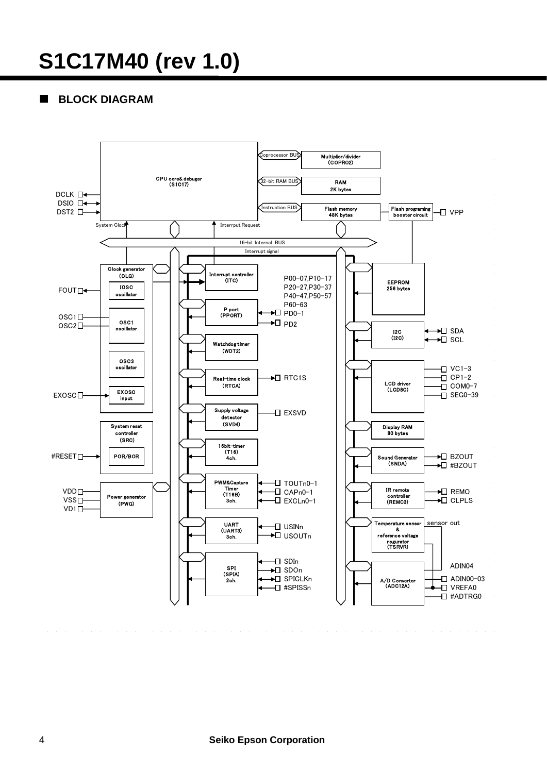### **BLOCK DIAGRAM**

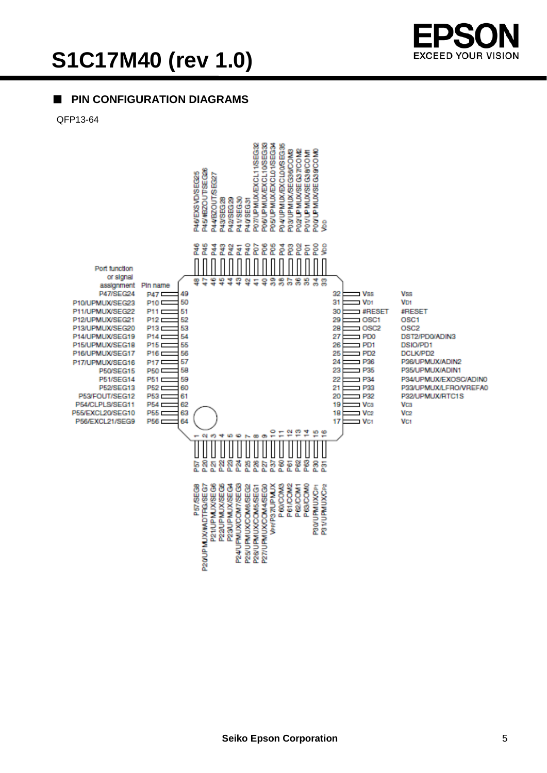

### ■ **PIN CONFIGURATION DIAGRAMS**

QFP13-64

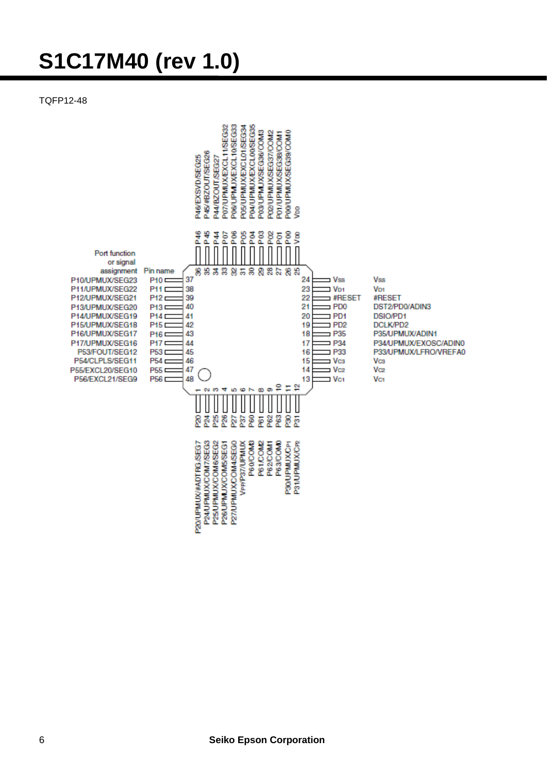TQFP12-48

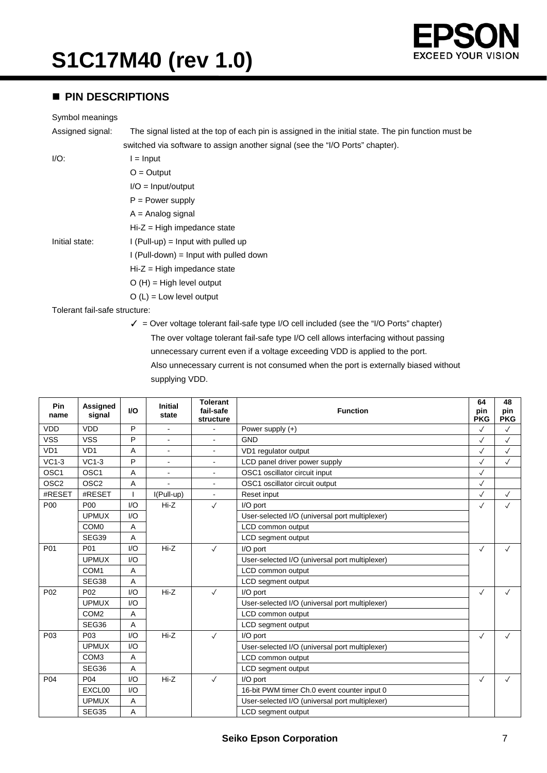

#### **PIN DESCRIPTIONS**

#### Symbol meanings

Assigned signal: The signal listed at the top of each pin is assigned in the initial state. The pin function must be switched via software to assign another signal (see the "I/O Ports" chapter).

 $I/O:$   $I = Input$ 

| $-$<br>$11.1$ $\mu$ at |  |
|------------------------|--|
| $O =$ Output           |  |

I/O = Input/output

 $P = Power$  supply

 $A =$  Analog signal

Hi-Z = High impedance state

Initial state:  $I$  (Pull-up) = Input with pulled up

I (Pull-down) = Input with pulled down

Hi-Z = High impedance state

O (H) = High level output

 $O (L) =$  Low level output

Tolerant fail-safe structure:

✓ = Over voltage tolerant fail-safe type I/O cell included (see the "I/O Ports" chapter) The over voltage tolerant fail-safe type I/O cell allows interfacing without passing unnecessary current even if a voltage exceeding VDD is applied to the port. Also unnecessary current is not consumed when the port is externally biased without supplying VDD.

| Pin<br>name      | <b>Assigned</b><br>signal   | <b>VO</b> | <b>Initial</b><br>state | <b>Tolerant</b><br>fail-safe<br>structure | <b>Function</b>                                |              | 48<br>pin<br><b>PKG</b> |
|------------------|-----------------------------|-----------|-------------------------|-------------------------------------------|------------------------------------------------|--------------|-------------------------|
| <b>VDD</b>       | <b>VDD</b>                  | P         | ÷.                      |                                           | Power supply $(+)$                             | $\checkmark$ | $\checkmark$            |
| <b>VSS</b>       | <b>VSS</b>                  | P         |                         | $\blacksquare$                            | <b>GND</b>                                     | $\checkmark$ | $\checkmark$            |
| VD <sub>1</sub>  | V <sub>D</sub> <sub>1</sub> | Α         | $\blacksquare$          | $\blacksquare$                            | VD1 regulator output                           | $\checkmark$ | $\checkmark$            |
| $VC1-3$          | $VC1-3$                     | P         |                         | $\blacksquare$                            | LCD panel driver power supply                  | $\checkmark$ | $\checkmark$            |
| OSC <sub>1</sub> | OSC <sub>1</sub>            | Α         | $\blacksquare$          | ä,                                        | OSC1 oscillator circuit input                  | $\checkmark$ |                         |
| OSC <sub>2</sub> | OSC <sub>2</sub>            | A         |                         | $\blacksquare$                            | OSC1 oscillator circuit output                 | $\checkmark$ |                         |
| #RESET           | #RESET                      |           | I(Pull-up)              | $\blacksquare$                            | Reset input                                    | $\checkmark$ | $\checkmark$            |
| P00              | P <sub>00</sub>             | I/O       | $Hi-Z$                  | $\checkmark$                              | I/O port                                       | $\checkmark$ | $\checkmark$            |
|                  | <b>UPMUX</b>                | I/O       |                         |                                           | User-selected I/O (universal port multiplexer) |              |                         |
|                  | COM <sub>0</sub>            | Α         |                         |                                           | LCD common output                              |              |                         |
|                  | SEG39                       | A         |                         |                                           | LCD segment output                             |              |                         |
| P01              | P01                         | I/O       | $Hi-Z$                  | $\checkmark$                              | I/O port                                       | $\checkmark$ | $\checkmark$            |
|                  | <b>UPMUX</b>                | I/O       |                         |                                           | User-selected I/O (universal port multiplexer) |              |                         |
|                  | COM <sub>1</sub>            | A         |                         |                                           | LCD common output                              |              |                         |
|                  | SEG38                       | A         |                         |                                           | LCD segment output                             |              |                         |
| P <sub>02</sub>  | P <sub>02</sub>             | 1/O       | $Hi-Z$                  | $\checkmark$                              | I/O port                                       | $\checkmark$ | $\checkmark$            |
|                  | <b>UPMUX</b>                | 1/O       |                         |                                           | User-selected I/O (universal port multiplexer) |              |                         |
|                  | COM <sub>2</sub>            | A         |                         |                                           | LCD common output                              |              |                         |
|                  | SEG36                       | A         |                         |                                           | LCD segment output                             |              |                         |
| P <sub>0</sub> 3 | P <sub>0</sub> 3            | 1/O       | $Hi-Z$                  | $\checkmark$                              | I/O port                                       | $\checkmark$ | $\checkmark$            |
|                  | <b>UPMUX</b>                | 1/O       |                         |                                           | User-selected I/O (universal port multiplexer) |              |                         |
|                  | COM <sub>3</sub>            | A         |                         |                                           | LCD common output                              |              |                         |
|                  | SEG36                       | A         |                         |                                           | LCD segment output                             |              |                         |
| P <sub>04</sub>  | P <sub>04</sub>             | 1/O       | $Hi-Z$                  | $\checkmark$                              | I/O port                                       | $\checkmark$ | $\checkmark$            |
|                  | EXCL00                      | I/O       |                         |                                           | 16-bit PWM timer Ch.0 event counter input 0    |              |                         |
|                  | <b>UPMUX</b>                | Α         |                         |                                           | User-selected I/O (universal port multiplexer) |              |                         |
|                  | SEG35                       | A         |                         |                                           | LCD segment output                             |              |                         |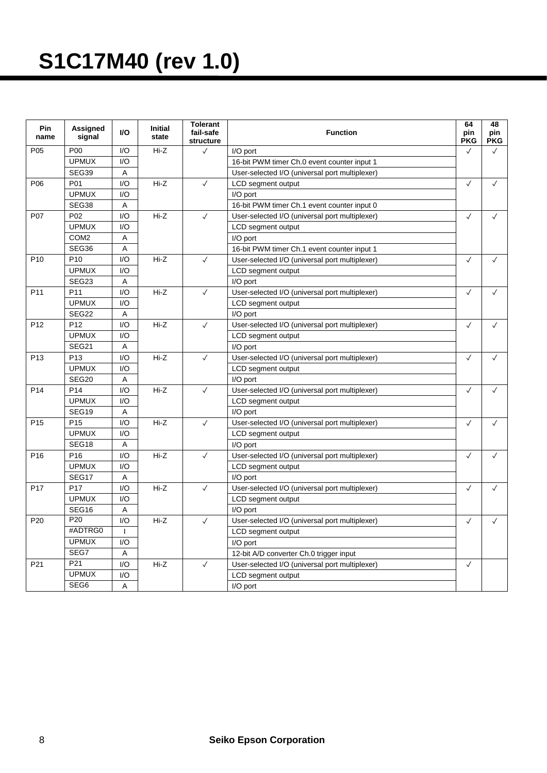| <b>Pin</b><br>name | Assigned<br>signal | <b>I/O</b>   | <b>Initial</b><br>state | <b>Tolerant</b><br>fail-safe<br>structure | <b>Function</b>                                | 64<br>pin<br><b>PKG</b> | 48<br>pin<br><b>PKG</b> |
|--------------------|--------------------|--------------|-------------------------|-------------------------------------------|------------------------------------------------|-------------------------|-------------------------|
| P05                | P <sub>00</sub>    | 1/O          | $Hi-Z$                  | $\checkmark$                              | I/O port                                       | $\checkmark$            | $\checkmark$            |
|                    | <b>UPMUX</b>       | 1/O          |                         |                                           | 16-bit PWM timer Ch.0 event counter input 1    |                         |                         |
|                    | SEG39              | A            |                         |                                           | User-selected I/O (universal port multiplexer) |                         |                         |
| P <sub>06</sub>    | P01                | I/O          | Hi-Z                    | $\checkmark$                              | LCD segment output                             | $\checkmark$            | $\checkmark$            |
|                    | <b>UPMUX</b>       | 1/O          |                         |                                           | I/O port                                       |                         |                         |
|                    | SEG38              | A            |                         |                                           | 16-bit PWM timer Ch.1 event counter input 0    |                         |                         |
| P07                | P <sub>02</sub>    | 1/O          | $Hi-Z$                  | $\checkmark$                              | User-selected I/O (universal port multiplexer) |                         | $\checkmark$            |
|                    | <b>UPMUX</b>       | 1/O          |                         |                                           | LCD segment output                             |                         |                         |
|                    | COM <sub>2</sub>   | A            |                         |                                           | I/O port                                       |                         |                         |
|                    | SEG36              | A            |                         |                                           | 16-bit PWM timer Ch.1 event counter input 1    |                         |                         |
| P <sub>10</sub>    | P <sub>10</sub>    | 1/O          | $Hi-Z$                  | $\checkmark$                              | User-selected I/O (universal port multiplexer) | $\checkmark$            | $\checkmark$            |
|                    | <b>UPMUX</b>       | I/O          |                         |                                           | LCD segment output                             |                         |                         |
|                    | SEG23              | A            |                         |                                           | I/O port                                       |                         |                         |
| P <sub>11</sub>    | P <sub>11</sub>    | I/O          | $Hi-Z$                  | $\checkmark$                              | User-selected I/O (universal port multiplexer) | $\checkmark$            | $\checkmark$            |
|                    | <b>UPMUX</b>       | 1/O          |                         |                                           | LCD segment output                             |                         |                         |
|                    | SEG22              | Α            |                         |                                           | I/O port                                       |                         |                         |
| P <sub>12</sub>    | P <sub>12</sub>    | I/O          | Hi-Z                    | $\checkmark$                              | User-selected I/O (universal port multiplexer) | $\checkmark$            | $\checkmark$            |
|                    | <b>UPMUX</b>       | I/O          |                         |                                           | LCD segment output                             |                         |                         |
|                    | <b>SEG21</b>       | A            |                         |                                           | I/O port                                       |                         |                         |
| P <sub>13</sub>    | P <sub>13</sub>    | I/O          | $Hi-Z$                  | $\checkmark$                              | User-selected I/O (universal port multiplexer) | $\checkmark$            |                         |
|                    | <b>UPMUX</b>       | I/O          |                         |                                           | LCD segment output                             |                         |                         |
|                    | SEG <sub>20</sub>  | A            |                         |                                           | I/O port                                       |                         |                         |
| P <sub>14</sub>    | P <sub>14</sub>    | 1/O          | $Hi-Z$                  | $\checkmark$                              | User-selected I/O (universal port multiplexer) | $\checkmark$            | $\checkmark$            |
|                    | <b>UPMUX</b>       | 1/O          |                         |                                           | LCD segment output                             |                         |                         |
|                    | SEG19              | A            |                         |                                           | I/O port                                       |                         |                         |
| P <sub>15</sub>    | P <sub>15</sub>    | 1/O          | $Hi-Z$                  | $\checkmark$                              | User-selected I/O (universal port multiplexer) | $\checkmark$            | $\checkmark$            |
|                    | <b>UPMUX</b>       | I/O          |                         |                                           | LCD segment output                             |                         |                         |
|                    | SEG18              | A            |                         |                                           | I/O port                                       |                         |                         |
| P <sub>16</sub>    | P <sub>16</sub>    | 1/O          | $Hi-Z$                  | $\checkmark$                              | User-selected I/O (universal port multiplexer) | $\checkmark$            | $\checkmark$            |
|                    | <b>UPMUX</b>       | 1/O          |                         |                                           | LCD segment output                             |                         |                         |
|                    | SEG17              | A            |                         |                                           | I/O port                                       |                         |                         |
| P <sub>17</sub>    | P <sub>17</sub>    | I/O          | $Hi-Z$                  | $\checkmark$                              | User-selected I/O (universal port multiplexer) | $\checkmark$            | $\checkmark$            |
|                    | <b>UPMUX</b>       | 1/O          |                         |                                           | LCD segment output                             |                         |                         |
|                    | SEG16              | A            |                         |                                           | I/O port                                       |                         |                         |
| P <sub>20</sub>    | P <sub>20</sub>    | 1/O          | $Hi-Z$                  | $\checkmark$                              | User-selected I/O (universal port multiplexer) | $\checkmark$            | $\checkmark$            |
|                    | #ADTRG0            | $\mathbf{I}$ |                         |                                           | LCD segment output                             |                         |                         |
|                    | <b>UPMUX</b>       | I/O          |                         |                                           | I/O port                                       |                         |                         |
|                    | SEG7               | A            |                         |                                           | 12-bit A/D converter Ch.0 trigger input        |                         |                         |
| P21                | P21                | I/O          | $Hi-Z$                  | $\checkmark$                              | User-selected I/O (universal port multiplexer) | $\checkmark$            |                         |
|                    | <b>UPMUX</b>       | 1/O          |                         |                                           | LCD segment output                             |                         |                         |
|                    | SEG <sub>6</sub>   | A            |                         |                                           | I/O port                                       |                         |                         |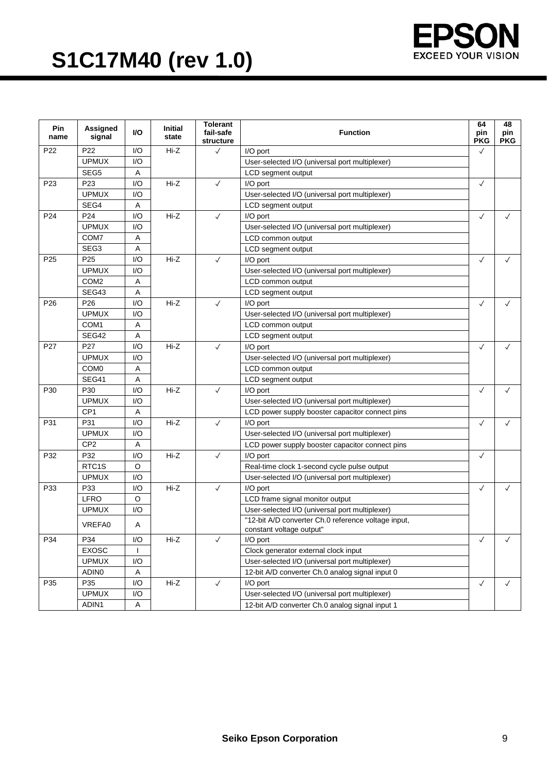

| <b>Pin</b><br>name | Assigned<br>signal | VO. | <b>Initial</b><br>state | <b>Tolerant</b><br>fail-safe<br>structure | <b>Function</b>                                     |              | 48<br>pin<br><b>PKG</b> |
|--------------------|--------------------|-----|-------------------------|-------------------------------------------|-----------------------------------------------------|--------------|-------------------------|
| P22                | P <sub>22</sub>    | 1/O | Hi-Z                    | $\checkmark$                              | I/O port                                            | $\checkmark$ |                         |
|                    | <b>UPMUX</b>       | 1/O |                         |                                           | User-selected I/O (universal port multiplexer)      |              |                         |
|                    | SEG5               | A   |                         |                                           | LCD segment output                                  |              |                         |
| P <sub>23</sub>    | P23                | I/O | Hi-Z                    | $\checkmark$                              | I/O port                                            | $\checkmark$ |                         |
|                    | <b>UPMUX</b>       | 1/O |                         |                                           | User-selected I/O (universal port multiplexer)      |              |                         |
|                    | SEG4               | Α   |                         |                                           | LCD segment output                                  |              |                         |
| P24                | P <sub>24</sub>    | 1/O | Hi-Z                    | $\checkmark$                              | I/O port                                            | $\checkmark$ | $\checkmark$            |
|                    | <b>UPMUX</b>       | 1/O |                         |                                           | User-selected I/O (universal port multiplexer)      |              |                         |
|                    | COM7               | Α   |                         |                                           | LCD common output                                   |              |                         |
|                    | SEG <sub>3</sub>   | Α   |                         |                                           | LCD segment output                                  |              |                         |
| P <sub>25</sub>    | P <sub>25</sub>    | 1/O | Hi-Z                    | $\checkmark$                              | I/O port                                            | $\checkmark$ | $\checkmark$            |
|                    | <b>UPMUX</b>       | 1/O |                         |                                           | User-selected I/O (universal port multiplexer)      |              |                         |
|                    | COM <sub>2</sub>   | Α   |                         |                                           | LCD common output                                   |              |                         |
|                    | SEG43              | Α   |                         |                                           | LCD segment output                                  |              |                         |
| P <sub>26</sub>    | P <sub>26</sub>    | 1/O | Hi-Z                    | $\checkmark$                              | I/O port                                            | $\checkmark$ | $\checkmark$            |
|                    | <b>UPMUX</b>       | I/O |                         |                                           | User-selected I/O (universal port multiplexer)      |              |                         |
|                    | COM <sub>1</sub>   | Α   |                         |                                           | LCD common output                                   |              |                         |
|                    | SEG42              | Α   |                         |                                           | LCD segment output                                  |              |                         |
| P <sub>27</sub>    | P <sub>27</sub>    | 1/O | Hi-Z                    | $\checkmark$                              | I/O port                                            | $\checkmark$ | $\checkmark$            |
|                    | <b>UPMUX</b>       | I/O |                         |                                           | User-selected I/O (universal port multiplexer)      |              |                         |
|                    | COM <sub>0</sub>   | Α   |                         |                                           | LCD common output                                   |              |                         |
|                    | SEG41              | Α   |                         |                                           | LCD segment output                                  |              |                         |
| P30                | P30                | I/O | Hi-Z                    | $\checkmark$                              | I/O port                                            | $\checkmark$ | $\checkmark$            |
|                    | <b>UPMUX</b>       | I/O |                         |                                           | User-selected I/O (universal port multiplexer)      |              |                         |
|                    | CP <sub>1</sub>    | Α   |                         |                                           | LCD power supply booster capacitor connect pins     |              |                         |
| P31                | P31                | 1/O | $Hi-Z$                  | $\checkmark$                              | I/O port                                            | $\checkmark$ | $\checkmark$            |
|                    | <b>UPMUX</b>       | 1/O |                         |                                           | User-selected I/O (universal port multiplexer)      |              |                         |
|                    | CP <sub>2</sub>    | Α   |                         |                                           | LCD power supply booster capacitor connect pins     |              |                         |
| P32                | P32                | 1/O | $Hi-Z$                  | $\checkmark$                              | I/O port                                            | $\checkmark$ |                         |
|                    | RTC <sub>1</sub> S | O   |                         |                                           | Real-time clock 1-second cycle pulse output         |              |                         |
|                    | <b>UPMUX</b>       | I/O |                         |                                           | User-selected I/O (universal port multiplexer)      |              |                         |
| P33                | P33                | I/O | Hi-Z                    | $\checkmark$                              | I/O port                                            | $\checkmark$ | $\checkmark$            |
|                    | <b>LFRO</b>        | O   |                         |                                           | LCD frame signal monitor output                     |              |                         |
|                    | <b>UPMUX</b>       | 1/O |                         |                                           | User-selected I/O (universal port multiplexer)      |              |                         |
|                    | VREFA0             | Α   |                         |                                           | "12-bit A/D converter Ch.0 reference voltage input, |              |                         |
|                    |                    |     |                         |                                           | constant voltage output"                            |              |                         |
| P34                | P34                | I/O | Hi-Z                    | $\checkmark$                              | I/O port                                            | $\checkmark$ | ✓                       |
|                    | <b>EXOSC</b>       |     |                         |                                           | Clock generator external clock input                |              |                         |
|                    | <b>UPMUX</b>       | I/O |                         |                                           | User-selected I/O (universal port multiplexer)      |              |                         |
|                    | ADIN <sub>0</sub>  | Α   |                         |                                           | 12-bit A/D converter Ch.0 analog signal input 0     |              |                         |
| P35                | P35                | I/O | Hi-Z                    | $\checkmark$                              | I/O port                                            | $\checkmark$ | $\checkmark$            |
|                    | <b>UPMUX</b>       | I/O |                         |                                           | User-selected I/O (universal port multiplexer)      |              |                         |
|                    | ADIN1              | Α   |                         |                                           | 12-bit A/D converter Ch.0 analog signal input 1     |              |                         |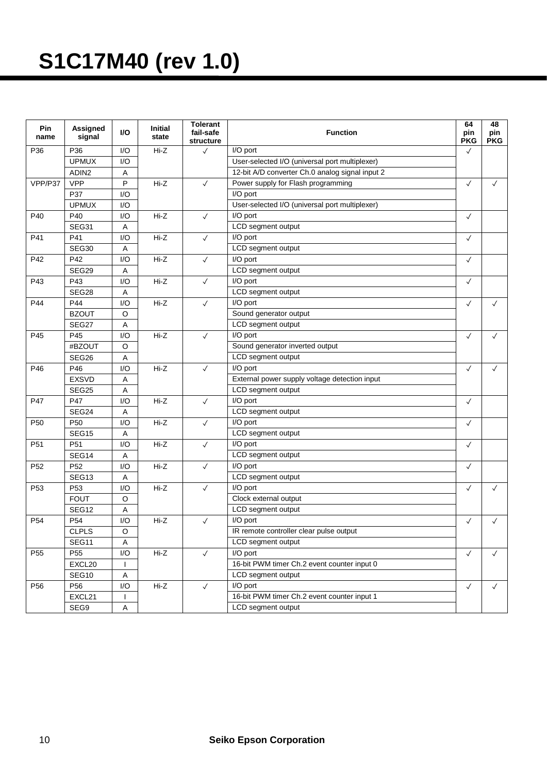| Pin<br>name     | <b>Assigned</b><br>signal | I/O         | <b>Initial</b><br>state | <b>Tolerant</b><br>fail-safe<br>structure | <b>Function</b>                                 |              | 48<br>pin<br><b>PKG</b> |
|-----------------|---------------------------|-------------|-------------------------|-------------------------------------------|-------------------------------------------------|--------------|-------------------------|
| P36             | P36                       | I/O         | Hi-Z                    | $\checkmark$                              | I/O port                                        | $\checkmark$ |                         |
|                 | <b>UPMUX</b>              | 1/O         |                         |                                           | User-selected I/O (universal port multiplexer)  |              |                         |
|                 | ADIN <sub>2</sub>         | A           |                         |                                           | 12-bit A/D converter Ch.0 analog signal input 2 |              |                         |
| VPP/P37         | <b>VPP</b>                | P           | Hi-Z                    | $\checkmark$                              | Power supply for Flash programming              | $\checkmark$ | $\checkmark$            |
|                 | P37                       | I/O         |                         |                                           | I/O port                                        |              |                         |
|                 | <b>UPMUX</b>              | I/O         |                         |                                           | User-selected I/O (universal port multiplexer)  |              |                         |
| P40             | P40                       | I/O         | Hi-Z                    | $\checkmark$                              | I/O port                                        | $\checkmark$ |                         |
|                 | SEG31                     | $\mathsf A$ |                         |                                           | LCD segment output                              |              |                         |
| P41             | P41                       | I/O         | Hi-Z                    | $\checkmark$                              | I/O port                                        |              |                         |
|                 | SEG30                     | A           |                         |                                           | LCD segment output                              |              |                         |
| P42             | P42                       | I/O         | Hi-Z                    | $\checkmark$                              | I/O port                                        | $\checkmark$ |                         |
|                 | SEG29                     | A           |                         |                                           | LCD segment output                              |              |                         |
| P43             | P43                       | I/O         | Hi-Z                    | $\checkmark$                              | I/O port                                        | $\checkmark$ |                         |
|                 | SEG28                     | Α           |                         |                                           | LCD segment output                              |              |                         |
| P44             | P44                       | I/O         | Hi-Z                    | $\checkmark$                              | I/O port                                        | $\checkmark$ | $\checkmark$            |
|                 | <b>BZOUT</b>              | O           |                         |                                           | Sound generator output                          |              |                         |
|                 | SEG27                     | Α           |                         |                                           | LCD segment output                              |              |                         |
| P45             | P45                       | I/O         | Hi-Z                    | $\checkmark$                              | I/O port                                        | $\checkmark$ | $\checkmark$            |
|                 | #BZOUT                    | O           |                         |                                           | Sound generator inverted output                 |              |                         |
|                 | SEG26                     | Α           |                         |                                           | LCD segment output                              |              |                         |
| P46             | P46                       | I/O         | Hi-Z                    | $\checkmark$                              | I/O port                                        | $\checkmark$ | $\checkmark$            |
|                 | <b>EXSVD</b>              | Α           |                         |                                           | External power supply voltage detection input   |              |                         |
|                 | SEG25                     | A           |                         |                                           | LCD segment output                              |              |                         |
| P47             | P47                       | I/O         | Hi-Z                    | $\checkmark$                              | I/O port                                        | $\checkmark$ |                         |
|                 | SEG24                     | Α           |                         |                                           | LCD segment output                              |              |                         |
| P <sub>50</sub> | P <sub>50</sub>           | I/O         | Hi-Z                    | $\checkmark$                              | I/O port                                        | $\checkmark$ |                         |
|                 | SEG15                     | A           |                         |                                           | LCD segment output                              |              |                         |
| P <sub>51</sub> | P <sub>51</sub>           | I/O         | $Hi-Z$                  | $\checkmark$                              | I/O port                                        | $\checkmark$ |                         |
|                 | SEG14                     | Α           |                         |                                           | LCD segment output                              |              |                         |
| P52             | P <sub>52</sub>           | I/O         | Hi-Z                    | $\checkmark$                              | I/O port                                        | $\checkmark$ |                         |
|                 | SEG <sub>13</sub>         | Α           |                         |                                           | LCD segment output                              |              |                         |
| P <sub>53</sub> | P <sub>53</sub>           | I/O         | Hi-Z                    | $\checkmark$                              | I/O port                                        | $\checkmark$ | $\checkmark$            |
|                 | <b>FOUT</b>               | O           |                         |                                           | Clock external output                           |              |                         |
|                 | SEG12                     | Α           |                         |                                           | LCD segment output                              |              |                         |
| P <sub>54</sub> | P <sub>54</sub>           | I/O         | Hi-Z                    | $\checkmark$                              | I/O port                                        | $\checkmark$ | ✓                       |
|                 | <b>CLPLS</b>              | Ő           |                         |                                           | IR remote controller clear pulse output         |              |                         |
|                 | SEG11                     | A           |                         |                                           | LCD segment output                              |              |                         |
| P <sub>55</sub> | P <sub>55</sub>           | I/O         | Hi-Z                    | $\checkmark$                              | I/O port                                        |              | $\checkmark$            |
|                 | EXCL20                    |             |                         |                                           | 16-bit PWM timer Ch.2 event counter input 0     | $\checkmark$ |                         |
|                 | SEG10                     | A           |                         |                                           | LCD segment output                              |              |                         |
| P56             | P <sub>56</sub>           | I/O         | Hi-Z                    | $\checkmark$                              | I/O port                                        | $\checkmark$ | $\checkmark$            |
|                 | EXCL21                    |             |                         |                                           | 16-bit PWM timer Ch.2 event counter input 1     |              |                         |
|                 | SEG9                      | Α           |                         |                                           | LCD segment output                              |              |                         |
|                 |                           |             |                         |                                           |                                                 |              |                         |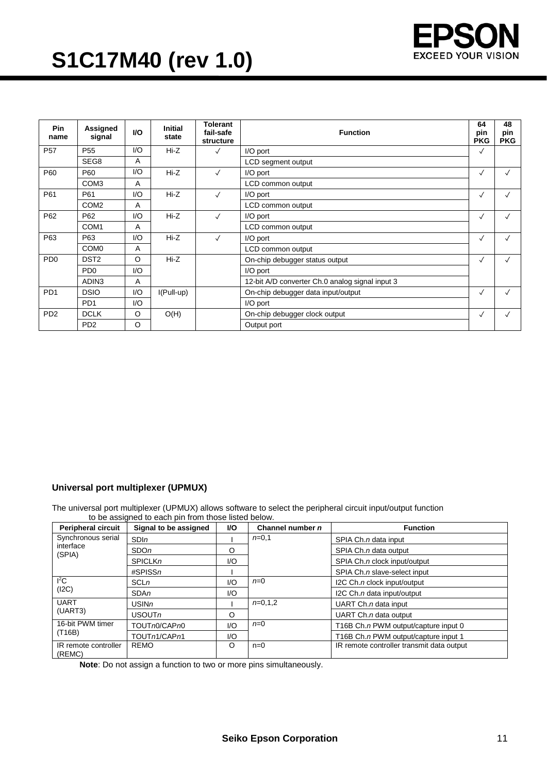

| <b>Pin</b><br>name          | Assigned<br>signal          | <b>VO</b> | <b>Initial</b><br>state | <b>Tolerant</b><br>fail-safe<br>structure | <b>Function</b>                                 |              | 48<br>pin<br><b>PKG</b> |
|-----------------------------|-----------------------------|-----------|-------------------------|-------------------------------------------|-------------------------------------------------|--------------|-------------------------|
| <b>P57</b>                  | P <sub>55</sub>             | 1/O       | $Hi-Z$                  | $\checkmark$                              | I/O port                                        | $\checkmark$ |                         |
|                             | SEG8                        | A         |                         |                                           | LCD segment output                              |              |                         |
| P60                         | P60                         | 1/O       | $Hi-Z$                  | $\checkmark$                              | I/O port                                        | $\checkmark$ | $\checkmark$            |
|                             | COM <sub>3</sub>            | A         |                         |                                           | LCD common output                               |              |                         |
| P61                         | P61                         | 1/O       | Hi-Z                    | $\checkmark$                              | I/O port                                        | $\checkmark$ | $\checkmark$            |
|                             | COM <sub>2</sub>            | A         |                         |                                           | LCD common output                               |              |                         |
| P62                         | P62                         | 1/O       | $Hi-Z$                  | $\checkmark$                              | I/O port                                        | $\checkmark$ | √                       |
|                             | COM <sub>1</sub>            | A         |                         |                                           | LCD common output                               |              |                         |
| P63                         | P63                         | 1/O       | Hi-Z                    | $\checkmark$                              | I/O port                                        |              | $\checkmark$            |
|                             | COM <sub>0</sub>            | A         |                         |                                           | LCD common output                               |              |                         |
| P <sub>D</sub> <sub>0</sub> | DST <sub>2</sub>            | O         | $Hi-Z$                  |                                           | On-chip debugger status output                  | $\checkmark$ | $\checkmark$            |
|                             | P <sub>D</sub> <sub>0</sub> | 1/O       |                         |                                           | I/O port                                        |              |                         |
|                             | ADIN <sub>3</sub>           | A         |                         |                                           | 12-bit A/D converter Ch.0 analog signal input 3 |              |                         |
| PD <sub>1</sub>             | <b>DSIO</b>                 | 1/O       | $I(Full-up)$            |                                           | On-chip debugger data input/output              |              | √                       |
|                             | PD <sub>1</sub>             | 1/O       |                         |                                           | I/O port                                        |              |                         |
| P <sub>D</sub> <sub>2</sub> | <b>DCLK</b>                 | O         | O(H)                    |                                           | On-chip debugger clock output                   | $\checkmark$ | $\checkmark$            |
|                             | P <sub>D</sub> <sub>2</sub> | O         |                         |                                           | Output port                                     |              |                         |

#### **Universal port multiplexer (UPMUX)**

The universal port multiplexer (UPMUX) allows software to select the peripheral circuit input/output function to be assigned to each pin from those listed below.

| <b>Peripheral circuit</b>      | Signal to be assigned | VO. | Channel number n | <b>Function</b>                           |
|--------------------------------|-----------------------|-----|------------------|-------------------------------------------|
| Synchronous serial             | SDIn                  |     | $n=0,1$          | SPIA Ch.n data input                      |
| interface<br>(SPIA)            | <b>SDOn</b>           | O   |                  | SPIA Ch.n data output                     |
|                                | <b>SPICLKn</b>        | I/O |                  | SPIA Ch.n clock input/output              |
|                                | $\#SPISSn$            |     |                  | SPIA Ch.n slave-select input              |
| ${}^{12}C$                     | <b>SCLn</b>           | 1/O | $n=0$            | I2C Ch. n clock input/output              |
| (I2C)                          | I/O<br>SDAn           |     |                  | I2C Ch.n data input/output                |
| <b>UART</b>                    | USINn                 |     | $n=0.1,2$        | UART $Ch.n$ data input                    |
| (UART3)                        | USOUTn<br>O           |     |                  | UART $Ch.n$ data output                   |
| 16-bit PWM timer<br>(T16B)     | TOUTn0/CAPn0          | I/O | $n=0$            | T16B Ch.n PWM output/capture input 0      |
|                                | TOUTn1/CAPn1          | I/O |                  | T16B Ch.n PWM output/capture input 1      |
| IR remote controller<br>(REMC) | <b>REMO</b>           | O   | $n=0$            | IR remote controller transmit data output |

**Note**: Do not assign a function to two or more pins simultaneously.